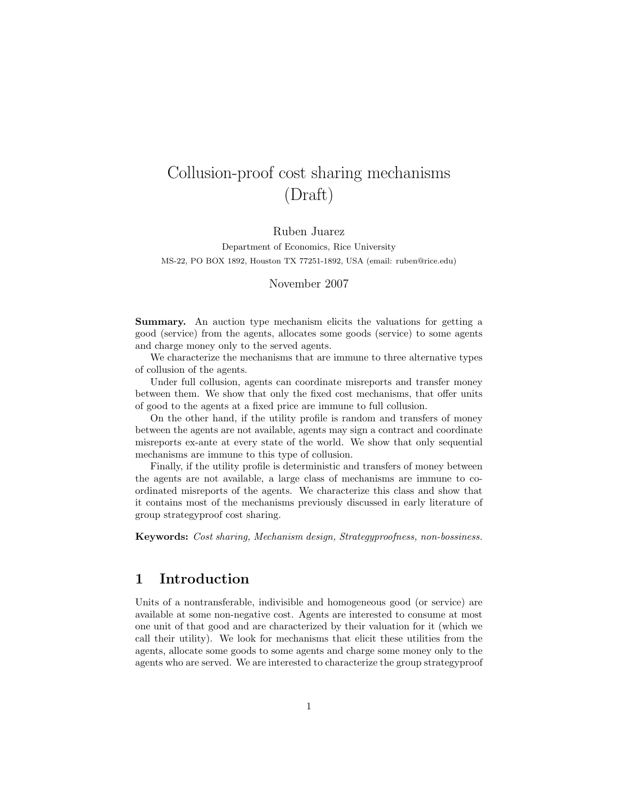# Collusion-proof cost sharing mechanisms (Draft)

Ruben Juarez

Department of Economics, Rice University MS-22, PO BOX 1892, Houston TX 77251-1892, USA (email: ruben@rice.edu)

November 2007

Summary. An auction type mechanism elicits the valuations for getting a good (service) from the agents, allocates some goods (service) to some agents and charge money only to the served agents.

We characterize the mechanisms that are immune to three alternative types of collusion of the agents.

Under full collusion, agents can coordinate misreports and transfer money between them. We show that only the fixed cost mechanisms, that offer units of good to the agents at a fixed price are immune to full collusion.

On the other hand, if the utility profile is random and transfers of money between the agents are not available, agents may sign a contract and coordinate misreports ex-ante at every state of the world. We show that only sequential mechanisms are immune to this type of collusion.

Finally, if the utility profile is deterministic and transfers of money between the agents are not available, a large class of mechanisms are immune to coordinated misreports of the agents. We characterize this class and show that it contains most of the mechanisms previously discussed in early literature of group strategyproof cost sharing.

Keywords: Cost sharing, Mechanism design, Strategyproofness, non-bossiness.

# 1 Introduction

Units of a nontransferable, indivisible and homogeneous good (or service) are available at some non-negative cost. Agents are interested to consume at most one unit of that good and are characterized by their valuation for it (which we call their utility). We look for mechanisms that elicit these utilities from the agents, allocate some goods to some agents and charge some money only to the agents who are served. We are interested to characterize the group strategyproof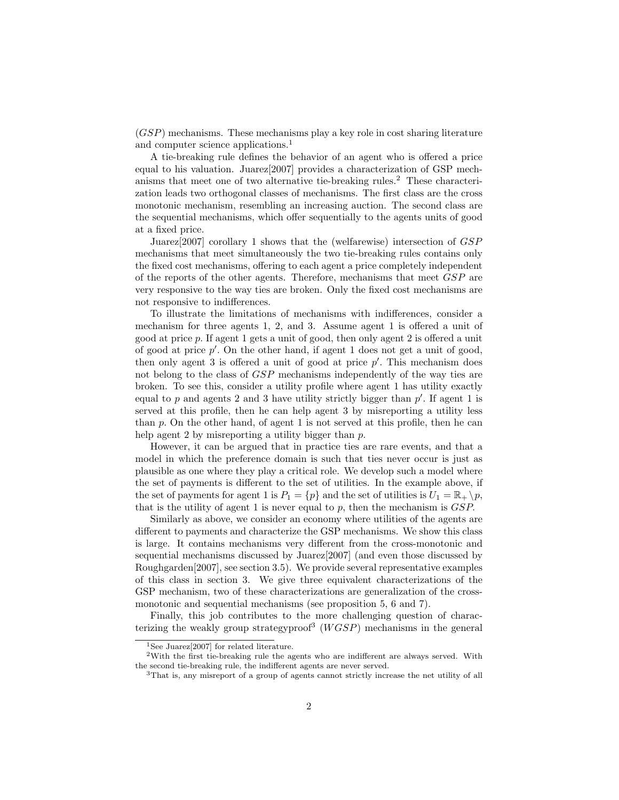(GSP) mechanisms. These mechanisms play a key role in cost sharing literature and computer science applications.<sup>1</sup>

A tie-breaking rule defines the behavior of an agent who is offered a price equal to his valuation. Juarez[2007] provides a characterization of GSP mechanisms that meet one of two alternative tie-breaking rules.<sup>2</sup> These characterization leads two orthogonal classes of mechanisms. The first class are the cross monotonic mechanism, resembling an increasing auction. The second class are the sequential mechanisms, which offer sequentially to the agents units of good at a fixed price.

Juarez[2007] corollary 1 shows that the (welfarewise) intersection of GSP mechanisms that meet simultaneously the two tie-breaking rules contains only the fixed cost mechanisms, offering to each agent a price completely independent of the reports of the other agents. Therefore, mechanisms that meet GSP are very responsive to the way ties are broken. Only the fixed cost mechanisms are not responsive to indifferences.

To illustrate the limitations of mechanisms with indifferences, consider a mechanism for three agents 1, 2, and 3. Assume agent 1 is offered a unit of good at price p. If agent 1 gets a unit of good, then only agent 2 is offered a unit of good at price  $p'$ . On the other hand, if agent 1 does not get a unit of good, then only agent 3 is offered a unit of good at price  $p'$ . This mechanism does not belong to the class of GSP mechanisms independently of the way ties are broken. To see this, consider a utility profile where agent 1 has utility exactly equal to  $p$  and agents 2 and 3 have utility strictly bigger than  $p'$ . If agent 1 is served at this profile, then he can help agent 3 by misreporting a utility less than  $p$ . On the other hand, of agent 1 is not served at this profile, then he can help agent 2 by misreporting a utility bigger than p.

However, it can be argued that in practice ties are rare events, and that a model in which the preference domain is such that ties never occur is just as plausible as one where they play a critical role. We develop such a model where the set of payments is different to the set of utilities. In the example above, if the set of payments for agent 1 is  $P_1 = \{p\}$  and the set of utilities is  $U_1 = \mathbb{R}_+ \setminus p$ , that is the utility of agent 1 is never equal to p, then the mechanism is  $GSP$ .

Similarly as above, we consider an economy where utilities of the agents are different to payments and characterize the GSP mechanisms. We show this class is large. It contains mechanisms very different from the cross-monotonic and sequential mechanisms discussed by Juarez[2007] (and even those discussed by Roughgarden[2007], see section 3.5). We provide several representative examples of this class in section 3. We give three equivalent characterizations of the GSP mechanism, two of these characterizations are generalization of the crossmonotonic and sequential mechanisms (see proposition 5, 6 and 7).

Finally, this job contributes to the more challenging question of characterizing the weakly group strategyproof<sup>3</sup> ( $WGSP$ ) mechanisms in the general

<sup>&</sup>lt;sup>1</sup>See Juarez<sup>[2007]</sup> for related literature.

<sup>2</sup>With the first tie-breaking rule the agents who are indifferent are always served. With the second tie-breaking rule, the indifferent agents are never served.

<sup>3</sup>That is, any misreport of a group of agents cannot strictly increase the net utility of all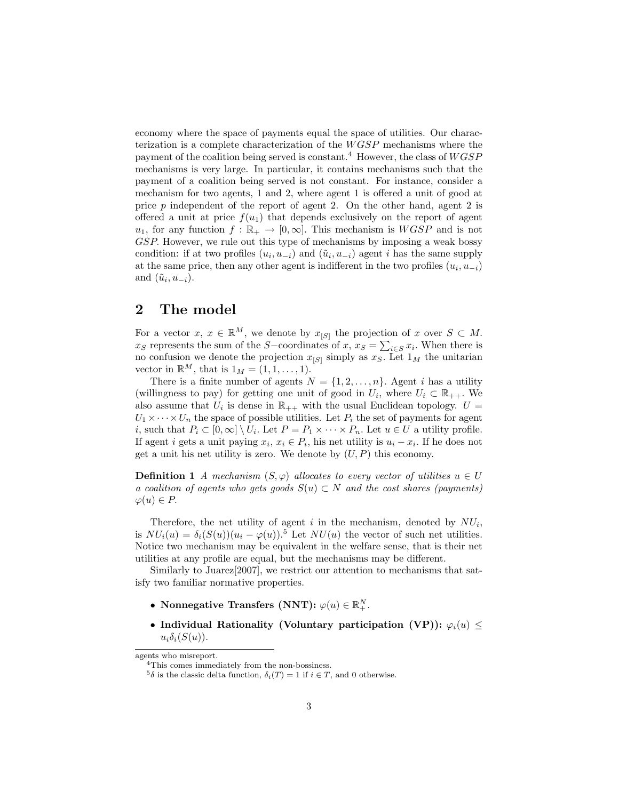economy where the space of payments equal the space of utilities. Our characterization is a complete characterization of the  $WGSP$  mechanisms where the payment of the coalition being served is constant.<sup>4</sup> However, the class of  $WGSP$ mechanisms is very large. In particular, it contains mechanisms such that the payment of a coalition being served is not constant. For instance, consider a mechanism for two agents, 1 and 2, where agent 1 is offered a unit of good at price p independent of the report of agent 2. On the other hand, agent 2 is offered a unit at price  $f(u_1)$  that depends exclusively on the report of agent  $u_1$ , for any function  $f : \mathbb{R}_+ \to [0,\infty]$ . This mechanism is  $WGSP$  and is not GSP. However, we rule out this type of mechanisms by imposing a weak bossy condition: if at two profiles  $(u_i, u_{-i})$  and  $(\tilde{u}_i, u_{-i})$  agent i has the same supply at the same price, then any other agent is indifferent in the two profiles  $(u_i, u_{-i})$ and  $(\tilde{u}_i, u_{-i}).$ 

## 2 The model

For a vector  $x, x \in \mathbb{R}^M$ , we denote by  $x_{[S]}$  the projection of  $x$  over  $S \subset M$ .  $x_S$  represents the sum of the S-coordinates of  $x, x_S = \sum_{i \in S} x_i$ . When there is no confusion we denote the projection  $x_{[S]}$  simply as  $x_S$ . Let  $1_M$  the unitarian vector in  $\mathbb{R}^M$ , that is  $1_M = (1, 1, \ldots, 1)$ .

There is a finite number of agents  $N = \{1, 2, ..., n\}$ . Agent *i* has a utility (willingness to pay) for getting one unit of good in  $U_i$ , where  $U_i \subset \mathbb{R}_{++}$ . We also assume that  $U_i$  is dense in  $\mathbb{R}_{++}$  with the usual Euclidean topology.  $U =$  $U_1 \times \cdots \times U_n$  the space of possible utilities. Let  $P_i$  the set of payments for agent *i*, such that  $P_i \subset [0,\infty] \setminus U_i$ . Let  $P = P_1 \times \cdots \times P_n$ . Let  $u \in U$  a utility profile. If agent *i* gets a unit paying  $x_i, x_i \in P_i$ , his net utility is  $u_i - x_i$ . If he does not get a unit his net utility is zero. We denote by  $(U, P)$  this economy.

**Definition 1** A mechanism  $(S, \varphi)$  allocates to every vector of utilities  $u \in U$ a coalition of agents who gets goods  $S(u) \subset N$  and the cost shares (payments)  $\varphi(u) \in P$ .

Therefore, the net utility of agent i in the mechanism, denoted by  $NU_i$ , is  $NU_i(u) = \delta_i(S(u))(u_i - \varphi(u))$ .<sup>5</sup> Let  $NU(u)$  the vector of such net utilities. Notice two mechanism may be equivalent in the welfare sense, that is their net utilities at any profile are equal, but the mechanisms may be different.

Similarly to Juarez[2007], we restrict our attention to mechanisms that satisfy two familiar normative properties.

- Nonnegative Transfers (NNT):  $\varphi(u) \in \mathbb{R}^N_+$ .
- Individual Rationality (Voluntary participation (VP)):  $\varphi_i(u) \leq$  $u_i\delta_i(S(u))$ .

agents who misreport.

<sup>4</sup>This comes immediately from the non-bossiness.

<sup>&</sup>lt;sup>5</sup> $\delta$  is the classic delta function,  $\delta_i(T) = 1$  if  $i \in T$ , and 0 otherwise.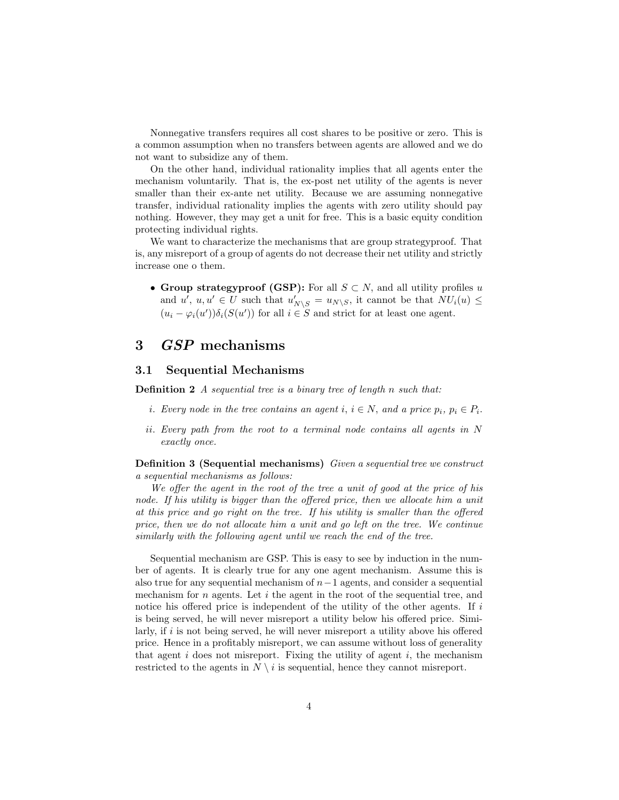Nonnegative transfers requires all cost shares to be positive or zero. This is a common assumption when no transfers between agents are allowed and we do not want to subsidize any of them.

On the other hand, individual rationality implies that all agents enter the mechanism voluntarily. That is, the ex-post net utility of the agents is never smaller than their ex-ante net utility. Because we are assuming nonnegative transfer, individual rationality implies the agents with zero utility should pay nothing. However, they may get a unit for free. This is a basic equity condition protecting individual rights.

We want to characterize the mechanisms that are group strategyproof. That is, any misreport of a group of agents do not decrease their net utility and strictly increase one o them.

• Group strategyproof (GSP): For all  $S \subset N$ , and all utility profiles u and  $u'$ ,  $u, u' \in U$  such that  $u'_{N \setminus S} = u_{N \setminus S}$ , it cannot be that  $NU_i(u) \leq$  $(u_i - \varphi_i(u'))\delta_i(S(u'))$  for all  $i \in S$  and strict for at least one agent.

## 3 GSP mechanisms

#### 3.1 Sequential Mechanisms

Definition 2 A sequential tree is a binary tree of length n such that:

- *i*. Every node in the tree contains an agent  $i, i \in N$ , and a price  $p_i, p_i \in P_i$ .
- ii. Every path from the root to a terminal node contains all agents in N exactly once.

Definition 3 (Sequential mechanisms) Given a sequential tree we construct a sequential mechanisms as follows:

We offer the agent in the root of the tree a unit of good at the price of his node. If his utility is bigger than the offered price, then we allocate him a unit at this price and go right on the tree. If his utility is smaller than the offered price, then we do not allocate him a unit and go left on the tree. We continue similarly with the following agent until we reach the end of the tree.

Sequential mechanism are GSP. This is easy to see by induction in the number of agents. It is clearly true for any one agent mechanism. Assume this is also true for any sequential mechanism of  $n-1$  agents, and consider a sequential mechanism for  $n$  agents. Let  $i$  the agent in the root of the sequential tree, and notice his offered price is independent of the utility of the other agents. If  $i$ is being served, he will never misreport a utility below his offered price. Similarly, if  $i$  is not being served, he will never misreport a utility above his offered price. Hence in a profitably misreport, we can assume without loss of generality that agent  $i$  does not misreport. Fixing the utility of agent  $i$ , the mechanism restricted to the agents in  $N \setminus i$  is sequential, hence they cannot misreport.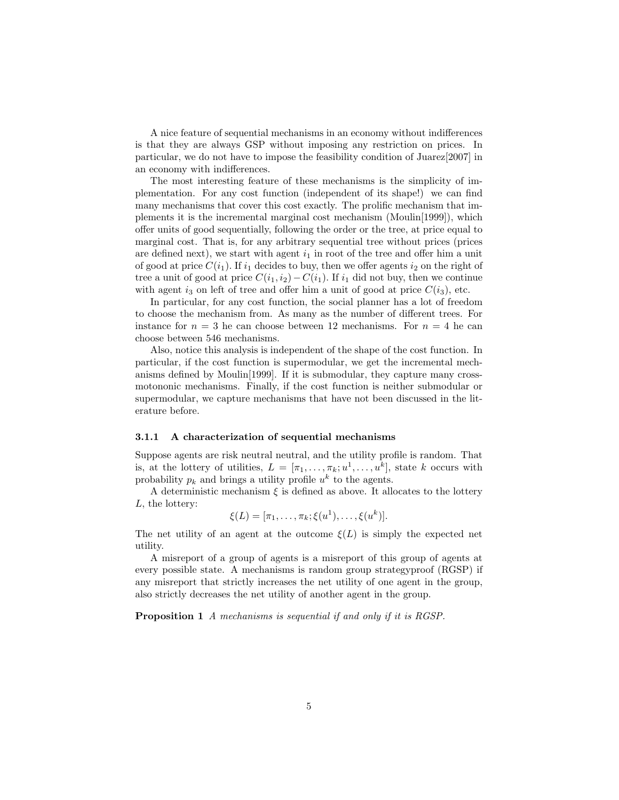A nice feature of sequential mechanisms in an economy without indifferences is that they are always GSP without imposing any restriction on prices. In particular, we do not have to impose the feasibility condition of Juarez[2007] in an economy with indifferences.

The most interesting feature of these mechanisms is the simplicity of implementation. For any cost function (independent of its shape!) we can find many mechanisms that cover this cost exactly. The prolific mechanism that implements it is the incremental marginal cost mechanism (Moulin[1999]), which offer units of good sequentially, following the order or the tree, at price equal to marginal cost. That is, for any arbitrary sequential tree without prices (prices are defined next), we start with agent  $i_1$  in root of the tree and offer him a unit of good at price  $C(i_1)$ . If  $i_1$  decides to buy, then we offer agents  $i_2$  on the right of tree a unit of good at price  $C(i_1, i_2) - C(i_1)$ . If  $i_1$  did not buy, then we continue with agent i<sub>3</sub> on left of tree and offer him a unit of good at price  $C(i_3)$ , etc.

In particular, for any cost function, the social planner has a lot of freedom to choose the mechanism from. As many as the number of different trees. For instance for  $n = 3$  he can choose between 12 mechanisms. For  $n = 4$  he can choose between 546 mechanisms.

Also, notice this analysis is independent of the shape of the cost function. In particular, if the cost function is supermodular, we get the incremental mechanisms defined by Moulin[1999]. If it is submodular, they capture many crossmotononic mechanisms. Finally, if the cost function is neither submodular or supermodular, we capture mechanisms that have not been discussed in the literature before.

#### 3.1.1 A characterization of sequential mechanisms

Suppose agents are risk neutral neutral, and the utility profile is random. That is, at the lottery of utilities,  $L = [\pi_1, \ldots, \pi_k; u^1, \ldots, u^k]$ , state k occurs with probability  $p_k$  and brings a utility profile  $u^k$  to the agents.

A deterministic mechanism  $\xi$  is defined as above. It allocates to the lottery L, the lottery:

$$
\xi(L) = [\pi_1, \ldots, \pi_k; \xi(u^1), \ldots, \xi(u^k)].
$$

The net utility of an agent at the outcome  $\xi(L)$  is simply the expected net utility.

A misreport of a group of agents is a misreport of this group of agents at every possible state. A mechanisms is random group strategyproof (RGSP) if any misreport that strictly increases the net utility of one agent in the group, also strictly decreases the net utility of another agent in the group.

Proposition 1 A mechanisms is sequential if and only if it is RGSP.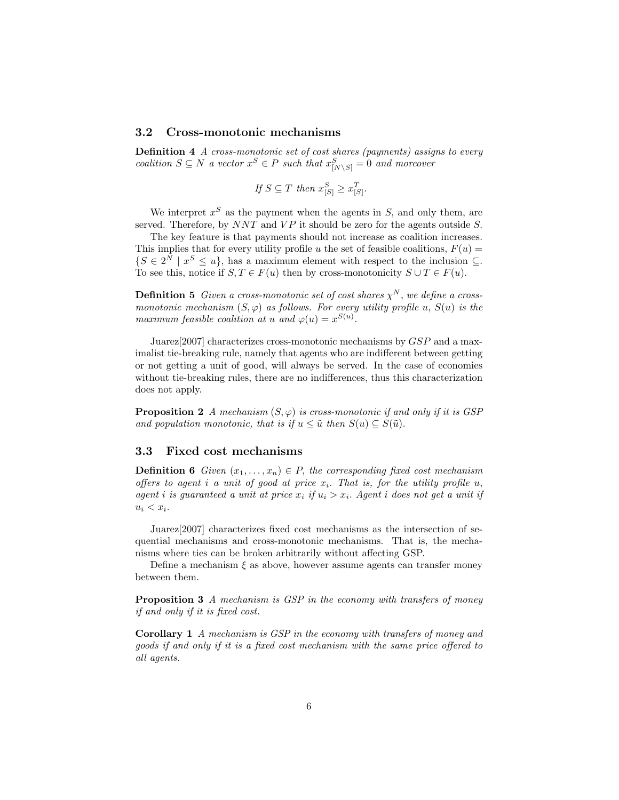## 3.2 Cross-monotonic mechanisms

Definition 4 A cross-monotonic set of cost shares (payments) assigns to every coalition  $S \subseteq N$  a vector  $x^S \in P$  such that  $x^S_{[N \setminus S]} = 0$  and moreover

If 
$$
S \subseteq T
$$
 then  $x_{[S]}^S \ge x_{[S]}^T$ .

We interpret  $x^S$  as the payment when the agents in  $S$ , and only them, are served. Therefore, by  $NNT$  and  $VP$  it should be zero for the agents outside S.

The key feature is that payments should not increase as coalition increases. This implies that for every utility profile u the set of feasible coalitions,  $F(u)$  =  $\{S \in 2^N \mid x^S \leq u\}$ , has a maximum element with respect to the inclusion  $\subseteq$ . To see this, notice if  $S, T \in F(u)$  then by cross-monotonicity  $S \cup T \in F(u)$ .

**Definition 5** Given a cross-monotonic set of cost shares  $\chi^N$ , we define a crossmonotonic mechanism  $(S, \varphi)$  as follows. For every utility profile u,  $S(u)$  is the maximum feasible coalition at u and  $\varphi(u) = x^{S(u)}$ .

Juarez[2007] characterizes cross-monotonic mechanisms by GSP and a maximalist tie-breaking rule, namely that agents who are indifferent between getting or not getting a unit of good, will always be served. In the case of economies without tie-breaking rules, there are no indifferences, thus this characterization does not apply.

**Proposition 2** A mechanism  $(S, \varphi)$  is cross-monotonic if and only if it is GSP and population monotonic, that is if  $u \leq \tilde{u}$  then  $S(u) \subseteq S(\tilde{u})$ .

#### 3.3 Fixed cost mechanisms

**Definition 6** Given  $(x_1, \ldots, x_n) \in P$ , the corresponding fixed cost mechanism offers to agent i a unit of good at price  $x_i$ . That is, for the utility profile u, agent i is guaranteed a unit at price  $x_i$  if  $u_i > x_i$ . Agent i does not get a unit if  $u_i < x_i$ .

Juarez[2007] characterizes fixed cost mechanisms as the intersection of sequential mechanisms and cross-monotonic mechanisms. That is, the mechanisms where ties can be broken arbitrarily without affecting GSP.

Define a mechanism  $\xi$  as above, however assume agents can transfer money between them.

Proposition 3 A mechanism is GSP in the economy with transfers of money if and only if it is fixed cost.

Corollary 1 A mechanism is GSP in the economy with transfers of money and goods if and only if it is a fixed cost mechanism with the same price offered to all agents.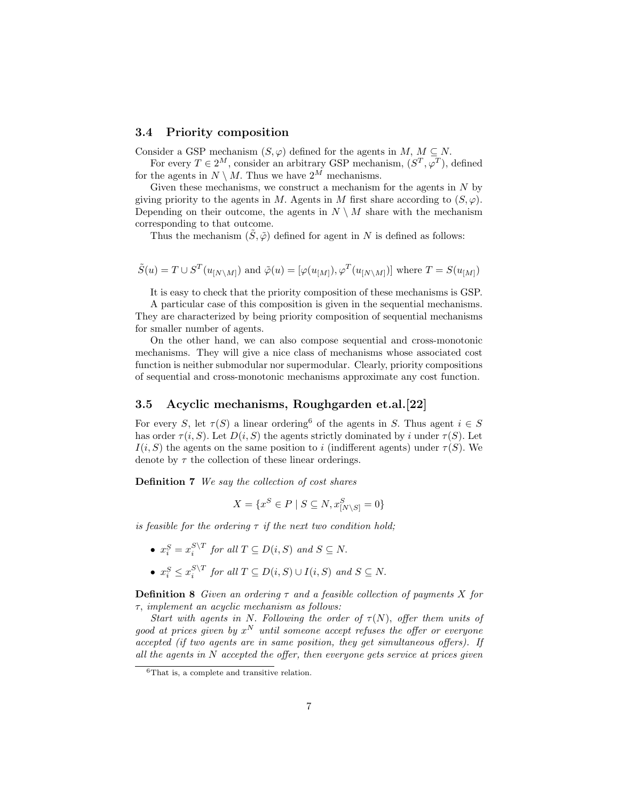#### 3.4 Priority composition

Consider a GSP mechanism  $(S, \varphi)$  defined for the agents in  $M, M \subseteq N$ .

For every  $T \in 2^M$ , consider an arbitrary GSP mechanism,  $(S^T, \varphi^T)$ , defined for the agents in  $N \setminus M$ . Thus we have  $2^M$  mechanisms.

Given these mechanisms, we construct a mechanism for the agents in  $N$  by giving priority to the agents in M. Agents in M first share according to  $(S, \varphi)$ . Depending on their outcome, the agents in  $N \setminus M$  share with the mechanism corresponding to that outcome.

Thus the mechanism  $(\tilde{S}, \tilde{\varphi})$  defined for agent in N is defined as follows:

$$
\tilde{S}(u)=T\cup S^T(u_{[N\backslash M]})
$$
 and  $\tilde{\varphi}(u)=[\varphi(u_{[M]}),\varphi^T(u_{[N\backslash M]})]$  where  $T=S(u_{[M]})$ 

It is easy to check that the priority composition of these mechanisms is GSP.

A particular case of this composition is given in the sequential mechanisms. They are characterized by being priority composition of sequential mechanisms for smaller number of agents.

On the other hand, we can also compose sequential and cross-monotonic mechanisms. They will give a nice class of mechanisms whose associated cost function is neither submodular nor supermodular. Clearly, priority compositions of sequential and cross-monotonic mechanisms approximate any cost function.

### 3.5 Acyclic mechanisms, Roughgarden et.al.[22]

For every S, let  $\tau(S)$  a linear ordering<sup>6</sup> of the agents in S. Thus agent  $i \in S$ has order  $\tau(i, S)$ . Let  $D(i, S)$  the agents strictly dominated by i under  $\tau(S)$ . Let  $I(i, S)$  the agents on the same position to i (indifferent agents) under  $\tau(S)$ . We denote by  $\tau$  the collection of these linear orderings.

Definition 7 We say the collection of cost shares

$$
X = \{x^S \in P \mid S \subseteq N, x^S_{[N \setminus S]} = 0\}
$$

is feasible for the ordering  $\tau$  if the next two condition hold;

- $x_i^S = x_i^{S \setminus T}$  for all  $T \subseteq D(i, S)$  and  $S \subseteq N$ .
- $x_i^S \le x_i^{S \setminus T}$  for all  $T \subseteq D(i, S) \cup I(i, S)$  and  $S \subseteq N$ .

**Definition 8** Given an ordering  $\tau$  and a feasible collection of payments X for τ, implement an acyclic mechanism as follows:

Start with agents in N. Following the order of  $\tau(N)$ , offer them units of good at prices given by  $x^N$  until someone accept refuses the offer or everyone accepted (if two agents are in same position, they get simultaneous offers). If all the agents in  $N$  accepted the offer, then everyone gets service at prices given

<sup>6</sup>That is, a complete and transitive relation.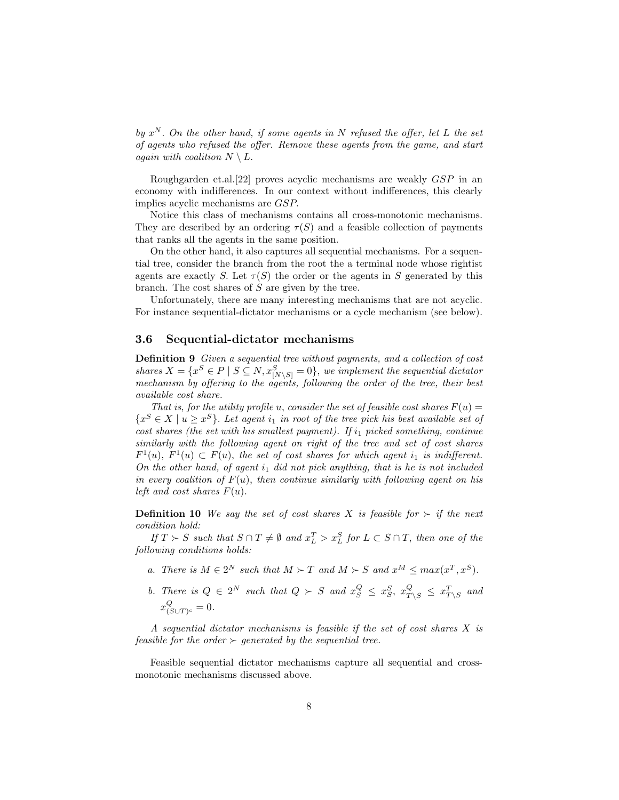by  $x^N$ . On the other hand, if some agents in N refused the offer, let L the set of agents who refused the offer. Remove these agents from the game, and start again with coalition  $N \setminus L$ .

Roughgarden et.al.[22] proves acyclic mechanisms are weakly GSP in an economy with indifferences. In our context without indifferences, this clearly implies acyclic mechanisms are GSP.

Notice this class of mechanisms contains all cross-monotonic mechanisms. They are described by an ordering  $\tau(S)$  and a feasible collection of payments that ranks all the agents in the same position.

On the other hand, it also captures all sequential mechanisms. For a sequential tree, consider the branch from the root the a terminal node whose rightist agents are exactly S. Let  $\tau(S)$  the order or the agents in S generated by this branch. The cost shares of S are given by the tree.

Unfortunately, there are many interesting mechanisms that are not acyclic. For instance sequential-dictator mechanisms or a cycle mechanism (see below).

#### 3.6 Sequential-dictator mechanisms

Definition 9 Given a sequential tree without payments, and a collection of cost shares  $X = \{x^S \in P \mid S \subseteq N, x_{[N \setminus S]}^S = 0\}$ , we implement the sequential dictator mechanism by offering to the agents, following the order of the tree, their best available cost share.

That is, for the utility profile u, consider the set of feasible cost shares  $F(u) =$  ${x^S \in X \mid u \geq x^S}$ . Let agent  $i_1$  in root of the tree pick his best available set of cost shares (the set with his smallest payment). If  $i_1$  picked something, continue similarly with the following agent on right of the tree and set of cost shares  $F^1(u)$ ,  $F^1(u) \subset F(u)$ , the set of cost shares for which agent  $i_1$  is indifferent. On the other hand, of agent  $i_1$  did not pick anything, that is he is not included in every coalition of  $F(u)$ , then continue similarly with following agent on his left and cost shares  $F(u)$ .

**Definition 10** We say the set of cost shares X is feasible for  $\succ$  if the next condition hold:

If  $T \succ S$  such that  $S \cap T \neq \emptyset$  and  $x_L^T > x_L^S$  for  $L \subset S \cap T$ , then one of the following conditions holds:

- a. There is  $M \in 2^N$  such that  $M \succ T$  and  $M \succ S$  and  $x^M \leq max(x^T, x^S)$ .
- b. There is  $Q \in 2^N$  such that  $Q \succ S$  and  $x_S^Q \leq x_S^S$ ,  $x_{T \setminus S}^Q \leq x_{T \setminus S}^T$  and  $x^Q_{\ell}$  $\frac{Q}{(S\cup T)^c}=0.$

A sequential dictator mechanisms is feasible if the set of cost shares X is feasible for the order  $\succ$  generated by the sequential tree.

Feasible sequential dictator mechanisms capture all sequential and crossmonotonic mechanisms discussed above.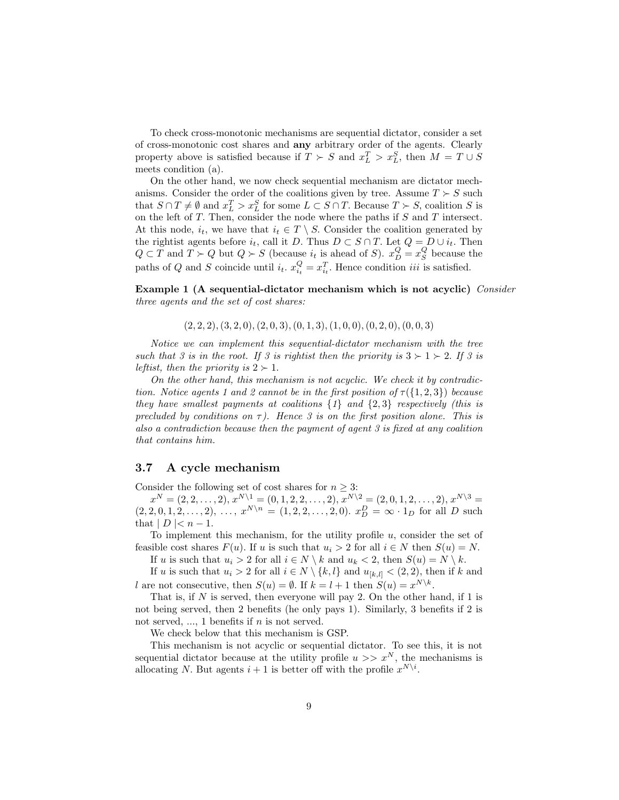To check cross-monotonic mechanisms are sequential dictator, consider a set of cross-monotonic cost shares and any arbitrary order of the agents. Clearly property above is satisfied because if  $T \succ S$  and  $x_L^T > x_L^S$ , then  $M = T \cup S$ meets condition (a).

On the other hand, we now check sequential mechanism are dictator mechanisms. Consider the order of the coalitions given by tree. Assume  $T \succ S$  such that  $S \cap T \neq \emptyset$  and  $x_L^T > x_L^S$  for some  $L \subset S \cap T$ . Because  $T \succ S$ , coalition S is on the left of  $T$ . Then, consider the node where the paths if  $S$  and  $T$  intersect. At this node,  $i_t$ , we have that  $i_t \in T \setminus S$ . Consider the coalition generated by the rightist agents before  $i_t$ , call it D. Thus  $D \subset S \cap T$ . Let  $Q = D \cup i_t$ . Then  $Q \subset T$  and  $T \succ Q$  but  $Q \succ S$  (because  $i_t$  is ahead of S).  $x_D^Q = x_S^Q$  because the paths of Q and S coincide until  $i_t$ .  $x_{i_t}^Q = x_{i_t}^T$ . Hence condition *iii* is satisfied.

Example 1 (A sequential-dictator mechanism which is not acyclic) Consider three agents and the set of cost shares:

 $(2, 2, 2), (3, 2, 0), (2, 0, 3), (0, 1, 3), (1, 0, 0), (0, 2, 0), (0, 0, 3)$ 

Notice we can implement this sequential-dictator mechanism with the tree such that 3 is in the root. If 3 is rightist then the priority is  $3 \succ 1 \succ 2$ . If 3 is leftist, then the priority is  $2 \succ 1$ .

On the other hand, this mechanism is not acyclic. We check it by contradiction. Notice agents 1 and 2 cannot be in the first position of  $\tau({1, 2, 3})$  because they have smallest payments at coalitions  $\{1\}$  and  $\{2,3\}$  respectively (this is precluded by conditions on  $\tau$ ). Hence 3 is on the first position alone. This is also a contradiction because then the payment of agent 3 is fixed at any coalition that contains him.

#### 3.7 A cycle mechanism

Consider the following set of cost shares for  $n \geq 3$ :

 $x^N = (2, 2, \ldots, 2), x^{N \setminus 1} = (0, 1, 2, 2, \ldots, 2), x^{N \setminus 2} = (2, 0, 1, 2, \ldots, 2), x^{N \setminus 3} =$  $(2, 2, 0, 1, 2, \ldots, 2), \ldots, x^{N \setminus n} = (1, 2, 2, \ldots, 2, 0).$   $x_D^D = \infty \cdot 1_D$  for all D such that  $|D| < n-1$ .

To implement this mechanism, for the utility profile  $u$ , consider the set of feasible cost shares  $F(u)$ . If u is such that  $u_i > 2$  for all  $i \in N$  then  $S(u) = N$ . If u is such that  $u_i > 2$  for all  $i \in N \setminus k$  and  $u_k < 2$ , then  $S(u) = N \setminus k$ .

If u is such that  $u_i > 2$  for all  $i \in N \setminus \{k, l\}$  and  $u_{[k,l]} < (2, 2)$ , then if k and l are not consecutive, then  $S(u) = \emptyset$ . If  $k = l + 1$  then  $S(u) = x^{N \setminus k}$ .

That is, if  $N$  is served, then everyone will pay 2. On the other hand, if 1 is not being served, then 2 benefits (he only pays 1). Similarly, 3 benefits if 2 is not served,  $\dots$ , 1 benefits if *n* is not served.

We check below that this mechanism is GSP.

This mechanism is not acyclic or sequential dictator. To see this, it is not sequential dictator because at the utility profile  $u >> x^N$ , the mechanisms is allocating N. But agents  $i + 1$  is better off with the profile  $x^{N\setminus i}$ .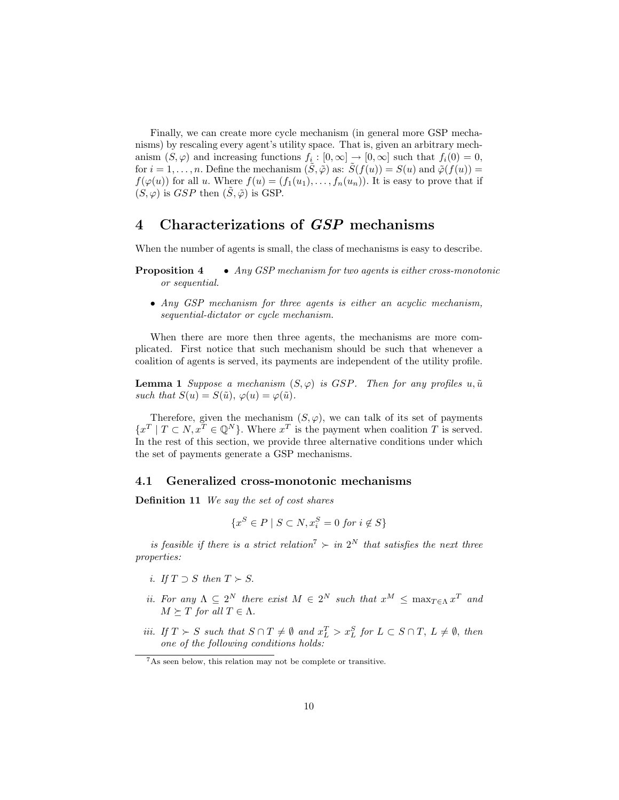Finally, we can create more cycle mechanism (in general more GSP mechanisms) by rescaling every agent's utility space. That is, given an arbitrary mechanism  $(S, \varphi)$  and increasing functions  $f_i : [0, \infty] \to [0, \infty]$  such that  $f_i(0) = 0$ , for  $i = 1, \ldots, n$ . Define the mechanism  $(\tilde{S}, \tilde{\varphi})$  as:  $\tilde{S}(f(u)) = S(u)$  and  $\tilde{\varphi}(f(u)) =$  $f(\varphi(u))$  for all u. Where  $f(u) = (f_1(u_1), \ldots, f_n(u_n))$ . It is easy to prove that if  $(S, \varphi)$  is GSP then  $(\tilde{S}, \tilde{\varphi})$  is GSP.

# 4 Characterizations of GSP mechanisms

When the number of agents is small, the class of mechanisms is easy to describe.

- **Proposition 4** Any GSP mechanism for two agents is either cross-monotonic or sequential.
	- Any GSP mechanism for three agents is either an acyclic mechanism, sequential-dictator or cycle mechanism.

When there are more then three agents, the mechanisms are more complicated. First notice that such mechanism should be such that whenever a coalition of agents is served, its payments are independent of the utility profile.

**Lemma 1** Suppose a mechanism  $(S, \varphi)$  is GSP. Then for any profiles  $u, \tilde{u}$ such that  $S(u) = S(\tilde{u}), \varphi(u) = \varphi(\tilde{u}).$ 

Therefore, given the mechanism  $(S, \varphi)$ , we can talk of its set of payments  ${x<sup>T</sup> | T \subset N, x<sup>T</sup> \in \mathbb{Q}^N}$ . Where  $x<sup>T</sup>$  is the payment when coalition T is served. In the rest of this section, we provide three alternative conditions under which the set of payments generate a GSP mechanisms.

#### 4.1 Generalized cross-monotonic mechanisms

Definition 11 We say the set of cost shares

$$
\{x^S \in P \mid S \subset N, x_i^S = 0 \text{ for } i \notin S\}
$$

is feasible if there is a strict relation<sup>7</sup>  $\succ$  in 2<sup>N</sup> that satisfies the next three properties:

- i. If  $T \supset S$  then  $T \succ S$ .
- *ii.* For any  $\Lambda \subseteq 2^N$  there exist  $M \in 2^N$  such that  $x^M \le \max_{T \in \Lambda} x^T$  and  $M \succeq T$  for all  $T \in \Lambda$ .
- *iii.* If  $T > S$  such that  $S \cap T \neq \emptyset$  and  $x_L^T > x_L^S$  for  $L \subset S \cap T$ ,  $L \neq \emptyset$ , then one of the following conditions holds:

<sup>7</sup>As seen below, this relation may not be complete or transitive.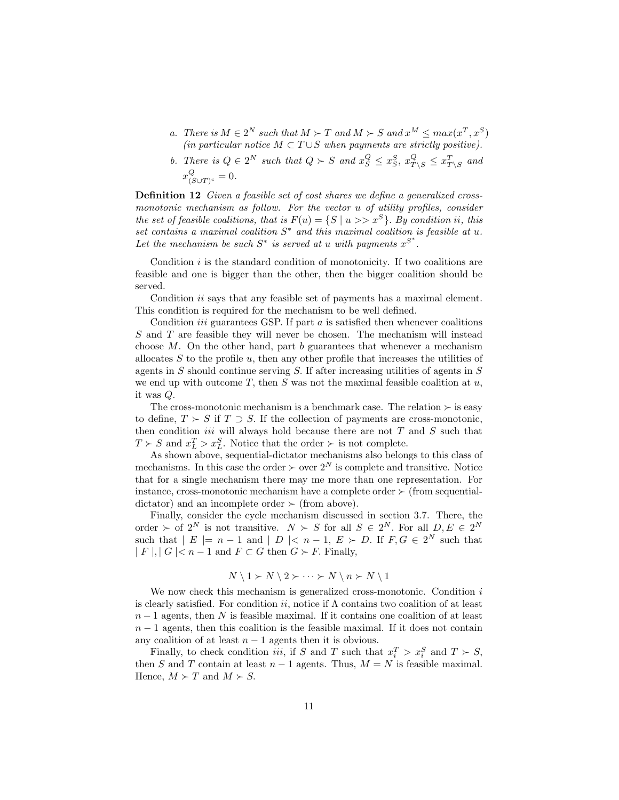- a. There is  $M \in 2^N$  such that  $M \succ T$  and  $M \succ S$  and  $x^M \leq max(x^T, x^S)$ (in particular notice  $M \subset T \cup S$  when payments are strictly positive).
- b. There is  $Q \in 2^N$  such that  $Q \succ S$  and  $x_S^Q \le x_S^S$ ,  $x_{T \setminus S}^Q \le x_{T \setminus S}^T$  and  $x^Q_{\alpha}$  $\frac{Q}{(S\cup T)^c}=0.$

Definition 12 Given a feasible set of cost shares we define a generalized crossmonotonic mechanism as follow. For the vector u of utility profiles, consider the set of feasible coalitions, that is  $F(u) = \{S \mid u >> x^S\}$ . By condition ii, this set contains a maximal coalition  $S^*$  and this maximal coalition is feasible at u. Let the mechanism be such  $S^*$  is served at u with payments  $x^{S^*}$ .

Condition  $i$  is the standard condition of monotonicity. If two coalitions are feasible and one is bigger than the other, then the bigger coalition should be served.

Condition *ii* says that any feasible set of payments has a maximal element. This condition is required for the mechanism to be well defined.

Condition *iii* guarantees GSP. If part  $a$  is satisfied then whenever coalitions S and T are feasible they will never be chosen. The mechanism will instead choose  $M$ . On the other hand, part  $b$  guarantees that whenever a mechanism allocates  $S$  to the profile  $u$ , then any other profile that increases the utilities of agents in  $S$  should continue serving  $S$ . If after increasing utilities of agents in  $S$ we end up with outcome  $T$ , then  $S$  was not the maximal feasible coalition at  $u$ , it was Q.

The cross-monotonic mechanism is a benchmark case. The relation  $\succ$  is easy to define,  $T \succeq S$  if  $T \supset S$ . If the collection of payments are cross-monotonic, then condition *iii* will always hold because there are not  $T$  and  $S$  such that  $T \succ S$  and  $x_L^T > x_L^S$ . Notice that the order  $\succ$  is not complete.

As shown above, sequential-dictator mechanisms also belongs to this class of mechanisms. In this case the order  $\succ$  over  $2^N$  is complete and transitive. Notice that for a single mechanism there may me more than one representation. For instance, cross-monotonic mechanism have a complete order  $\succ$  (from sequentialdictator) and an incomplete order  $\succ$  (from above).

Finally, consider the cycle mechanism discussed in section 3.7. There, the order  $\succ$  of  $2^N$  is not transitive.  $N \succ S$  for all  $S \in 2^N$ . For all  $D, E \in 2^N$ such that  $|E| = n - 1$  and  $|D| < n - 1$ ,  $E \succ D$ . If  $F, G \in 2^N$  such that  $| F |, | G | < n - 1$  and  $F \subset G$  then  $G \succ F$ . Finally,

$$
N \setminus 1 \succ N \setminus 2 \succ \cdots \succ N \setminus n \succ N \setminus 1
$$

We now check this mechanism is generalized cross-monotonic. Condition  $i$ is clearly satisfied. For condition ii, notice if  $\Lambda$  contains two coalition of at least  $n-1$  agents, then N is feasible maximal. If it contains one coalition of at least  $n-1$  agents, then this coalition is the feasible maximal. If it does not contain any coalition of at least  $n - 1$  agents then it is obvious.

Finally, to check condition *iii*, if S and T such that  $x_i^T > x_i^S$  and  $T \succ S$ , then S and T contain at least  $n-1$  agents. Thus,  $M = N$  is feasible maximal. Hence,  $M \succ T$  and  $M \succ S$ .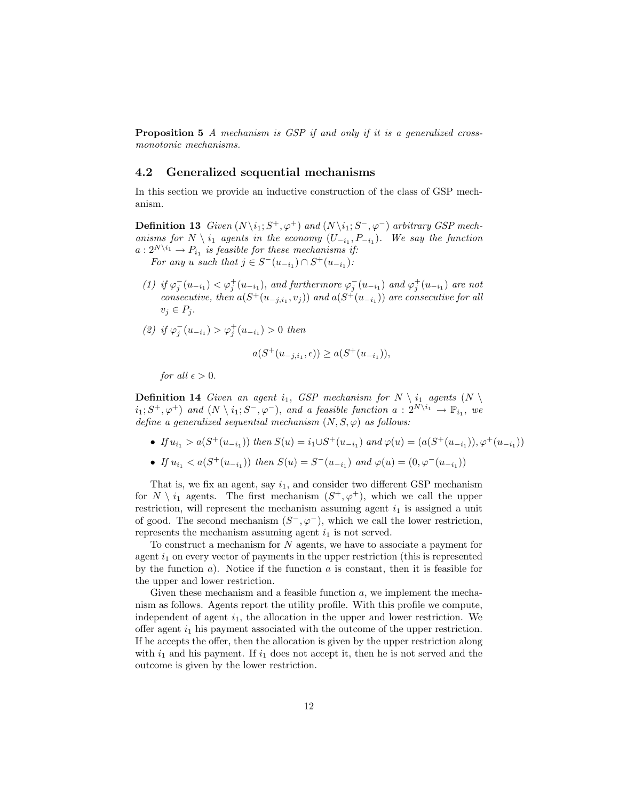**Proposition 5** A mechanism is GSP if and only if it is a generalized crossmonotonic mechanisms.

#### 4.2 Generalized sequential mechanisms

In this section we provide an inductive construction of the class of GSP mechanism.

**Definition 13** Given  $(N \setminus i_1; S^+, \varphi^+)$  and  $(N \setminus i_1; S^-, \varphi^-)$  arbitrary GSP mechanisms for  $N \setminus i_1$  agents in the economy  $(U_{-i_1}, P_{-i_1})$ . We say the function  $a: 2^{N\setminus i_1} \to P_{i_1}$  is feasible for these mechanisms if:

For any u such that  $j \in S^-(u_{-i_1}) \cap S^+(u_{-i_1})$ :

- (1) if  $\varphi_j^-(u_{-i_1}) < \varphi_j^+(u_{-i_1})$ , and furthermore  $\varphi_j^-(u_{-i_1})$  and  $\varphi_j^+(u_{-i_1})$  are not consecutive, then  $a(S^+(u_{-j,i_1}, v_j))$  and  $a(S^+(u_{-i_1}))$  are consecutive for all  $v_i \in P_i$ .
- (2) if  $\varphi_j^{-}(u_{-i_1}) > \varphi_j^{+}(u_{-i_1}) > 0$  then

$$
a(S^+(u_{-j,i_1}, \epsilon)) \ge a(S^+(u_{-i_1})),
$$

for all  $\epsilon > 0$ .

**Definition 14** Given an agent i<sub>1</sub>, GSP mechanism for  $N \setminus i_1$  agents  $(N \setminus i_1)$  $(i_1; S^+, \varphi^+)$  and  $(N \setminus i_1; S^-, \varphi^-)$ , and a feasible function  $a: 2^{N \setminus i_1} \to \mathbb{P}_{i_1}$ , we define a generalized sequential mechanism  $(N, S, \varphi)$  as follows:

- If  $u_{i_1} > a(S^+(u_{-i_1}))$  then  $S(u) = i_1 \cup S^+(u_{-i_1})$  and  $\varphi(u) = (a(S^+(u_{-i_1})), \varphi^+(u_{-i_1}))$
- If  $u_{i_1} < a(S^+(u_{-i_1}))$  then  $S(u) = S^-(u_{-i_1})$  and  $\varphi(u) = (0, \varphi^-(u_{-i_1}))$

That is, we fix an agent, say  $i_1$ , and consider two different GSP mechanism for  $N \setminus i_1$  agents. The first mechanism  $(S^+, \varphi^+)$ , which we call the upper restriction, will represent the mechanism assuming agent  $i_1$  is assigned a unit of good. The second mechanism  $(S^-,\varphi^-)$ , which we call the lower restriction, represents the mechanism assuming agent  $i_1$  is not served.

To construct a mechanism for  $N$  agents, we have to associate a payment for agent  $i_1$  on every vector of payments in the upper restriction (this is represented by the function  $a$ ). Notice if the function  $a$  is constant, then it is feasible for the upper and lower restriction.

Given these mechanism and a feasible function  $a$ , we implement the mechanism as follows. Agents report the utility profile. With this profile we compute, independent of agent  $i_1$ , the allocation in the upper and lower restriction. We offer agent  $i_1$  his payment associated with the outcome of the upper restriction. If he accepts the offer, then the allocation is given by the upper restriction along with  $i_1$  and his payment. If  $i_1$  does not accept it, then he is not served and the outcome is given by the lower restriction.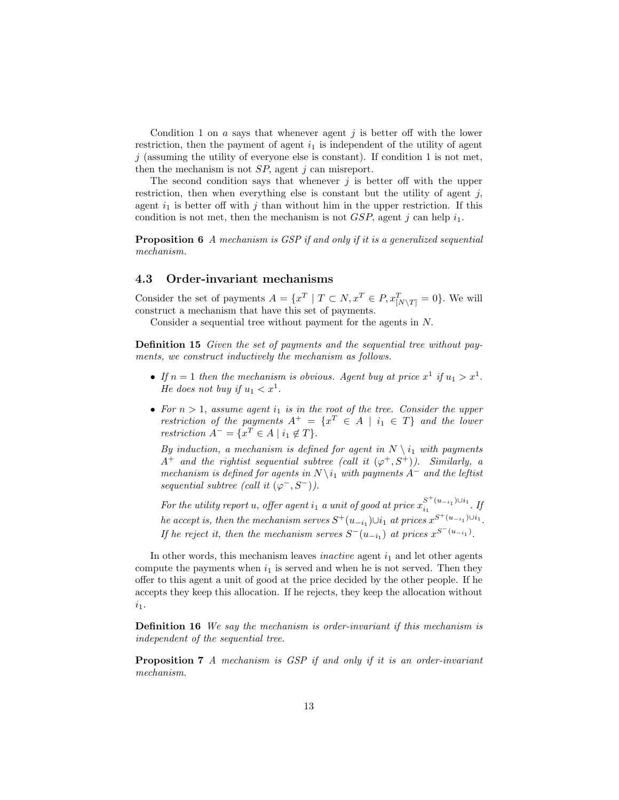Condition 1 on  $a$  says that whenever agent  $j$  is better off with the lower restriction, then the payment of agent  $i_1$  is independent of the utility of agent  $j$  (assuming the utility of everyone else is constant). If condition 1 is not met, then the mechanism is not  $SP$ , agent j can misreport.

The second condition says that whenever  $j$  is better off with the upper restriction, then when everything else is constant but the utility of agent  $j$ , agent  $i_1$  is better off with j than without him in the upper restriction. If this condition is not met, then the mechanism is not  $GSP$ , agent j can help  $i_1$ .

Proposition 6 A mechanism is GSP if and only if it is a generalized sequential mechanism.

#### 4.3 Order-invariant mechanisms

Consider the set of payments  $A = \{x^T | T \subset N, x^T \in P, x_{[N\setminus T]}^T = 0\}$ . We will construct a mechanism that have this set of payments.

Consider a sequential tree without payment for the agents in N.

Definition 15 Given the set of payments and the sequential tree without payments, we construct inductively the mechanism as follows.

- If  $n = 1$  then the mechanism is obvious. Agent buy at price  $x^1$  if  $u_1 > x^1$ . He does not buy if  $u_1 < x^1$ .
- For  $n > 1$ , assume agent  $i_1$  is in the root of the tree. Consider the upper restriction of the payments  $A^+=\{x^T \in A \mid i_1 \in T\}$  and the lower restriction  $A^- = \{x^T \in A \mid i_1 \notin T\}.$

By induction, a mechanism is defined for agent in  $N \setminus i_1$  with payments  $A^+$  and the rightist sequential subtree (call it  $(\varphi^+, S^+)$ ). Similarly, a mechanism is defined for agents in  $N \setminus i_1$  with payments  $A^-$  and the leftist sequential subtree (call it  $(\varphi^-, S^-)$ ).

For the utility report u, offer agent  $i_1$  a unit of good at price  $x_{i_1}^{S^+(u_{-i_1})\cup i_1}$  $\frac{u_{i_1}}{u_1}$  . If he accept is, then the mechanism serves  $S^+(u_{-i_1})\cup i_1$  at prices  $x^{S^+(u_{-i_1})\cup i_1}$ . If he reject it, then the mechanism serves  $S^-(u_{-i_1})$  at prices  $x^{S^-(u_{-i_1})}$ .

In other words, this mechanism leaves *inactive* agent  $i_1$  and let other agents compute the payments when  $i_1$  is served and when he is not served. Then they offer to this agent a unit of good at the price decided by the other people. If he accepts they keep this allocation. If he rejects, they keep the allocation without  $i_1$ .

Definition 16 We say the mechanism is order-invariant if this mechanism is independent of the sequential tree.

Proposition 7 A mechanism is GSP if and only if it is an order-invariant mechanism.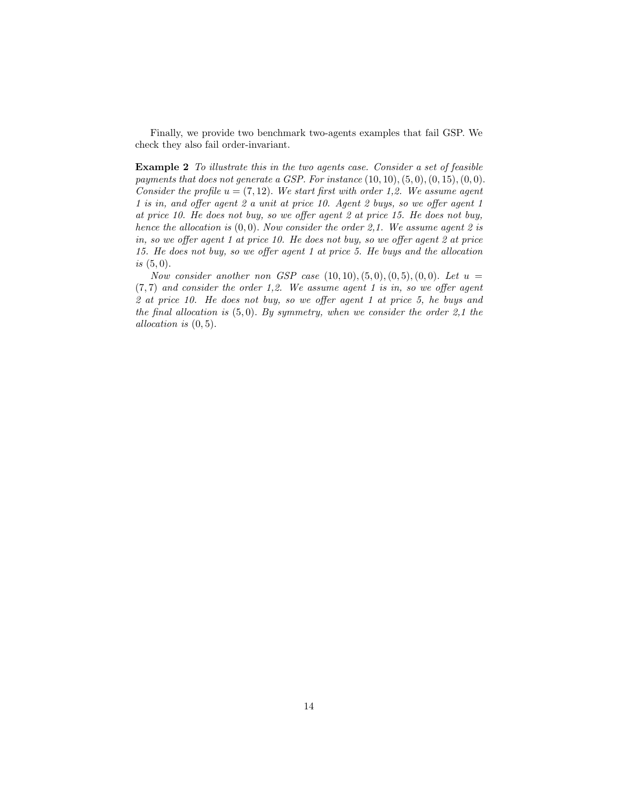Finally, we provide two benchmark two-agents examples that fail GSP. We check they also fail order-invariant.

Example 2 To illustrate this in the two agents case. Consider a set of feasible payments that does not generate a GSP. For instance  $(10, 10), (5, 0), (0, 15), (0, 0).$ Consider the profile  $u = (7, 12)$ . We start first with order 1,2. We assume agent 1 is in, and offer agent 2 a unit at price 10. Agent 2 buys, so we offer agent 1 at price 10. He does not buy, so we offer agent 2 at price 15. He does not buy, hence the allocation is  $(0, 0)$ . Now consider the order 2,1. We assume agent 2 is in, so we offer agent 1 at price 10. He does not buy, so we offer agent 2 at price 15. He does not buy, so we offer agent 1 at price 5. He buys and the allocation is  $(5, 0)$ .

Now consider another non GSP case  $(10, 10), (5, 0), (0, 5), (0, 0)$ . Let  $u =$  $(7, 7)$  and consider the order 1,2. We assume agent 1 is in, so we offer agent 2 at price 10. He does not buy, so we offer agent 1 at price 5, he buys and the final allocation is  $(5,0)$ . By symmetry, when we consider the order 2,1 the allocation is (0, 5).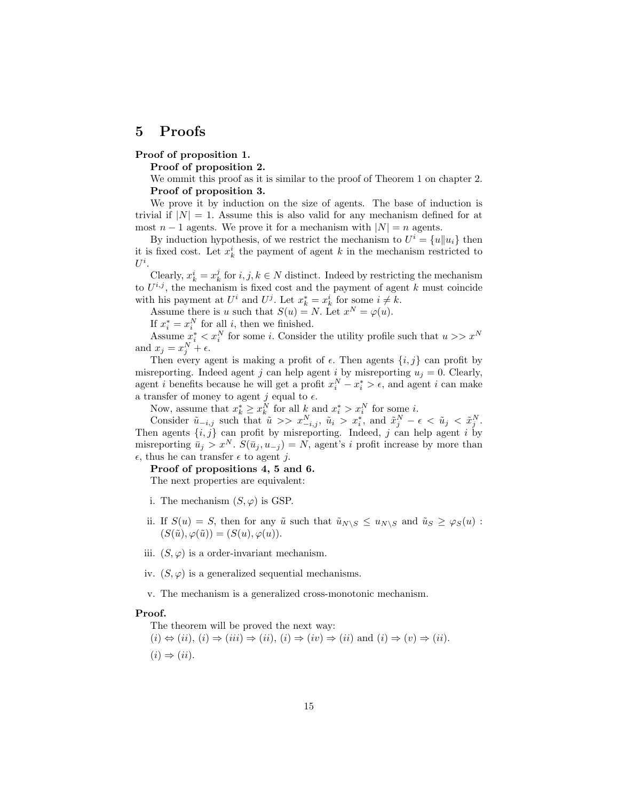## 5 Proofs

#### Proof of proposition 1.

Proof of proposition 2.

We ommit this proof as it is similar to the proof of Theorem 1 on chapter 2. Proof of proposition 3.

We prove it by induction on the size of agents. The base of induction is trivial if  $|N| = 1$ . Assume this is also valid for any mechanism defined for at most  $n-1$  agents. We prove it for a mechanism with  $|N|=n$  agents.

By induction hypothesis, of we restrict the mechanism to  $U^i = \{u | u_i\}$  then it is fixed cost. Let  $x_k^i$  the payment of agent k in the mechanism restricted to  $U^i.$ 

Clearly,  $x_k^i = x_k^j$  for  $i, j, k \in \mathbb{N}$  distinct. Indeed by restricting the mechanism to  $U^{i,j}$ , the mechanism is fixed cost and the payment of agent k must coincide with his payment at  $U^i$  and  $U^j$ . Let  $x^*_k = x^i_k$  for some  $i \neq k$ .

Assume there is u such that  $S(u) = N$ . Let  $x^N = \varphi(u)$ .

If  $x_i^* = x_i^N$  for all i, then we finished.

If  $x_i^* = x_i^N$  for all *i*, then we finished.<br>Assume  $x_i^* < x_i^N$  for some *i*. Consider the utility profile such that  $u >> x^N$ and  $x_j = x_j^N + \epsilon$ .

Then every agent is making a profit of  $\epsilon$ . Then agents  $\{i, j\}$  can profit by misreporting. Indeed agent j can help agent i by misreporting  $u_j = 0$ . Clearly, agent *i* benefits because he will get a profit  $x_i^N - x_i^* > \epsilon$ , and agent *i* can make a transfer of money to agent j equal to  $\epsilon$ .

Now, assume that  $x_k^* \ge x_k^N$  for all  $k$  and  $x_i^* > x_i^N$  for some *i*.

Consider  $\tilde{u}_{-i,j}$  such that  $\tilde{u} \gg x_{-i,j}^N$ ,  $\tilde{u}_i > x_i^*$ , and  $\tilde{x}_j^N - \epsilon < \tilde{u}_j < \tilde{x}_j^N$ . Then agents  $\{i, j\}$  can profit by misreporting. Indeed, j can help agent i by misreporting  $\bar{u}_i > x^N$ .  $S(\bar{u}_i, u_{-i}) = N$ , agent's i profit increase by more than  $\epsilon$ , thus he can transfer  $\epsilon$  to agent j.

#### Proof of propositions 4, 5 and 6.

The next properties are equivalent:

- i. The mechanism  $(S, \varphi)$  is GSP.
- ii. If  $S(u) = S$ , then for any  $\tilde{u}$  such that  $\tilde{u}_{N\setminus S} \le u_{N\setminus S}$  and  $\tilde{u}_S \ge \varphi_S(u)$ :  $(S(\tilde{u}), \varphi(\tilde{u})) = (S(u), \varphi(u)).$
- iii.  $(S, \varphi)$  is a order-invariant mechanism.
- iv.  $(S, \varphi)$  is a generalized sequential mechanisms.
- v. The mechanism is a generalized cross-monotonic mechanism.

#### Proof.

The theorem will be proved the next way:

 $(i) \Leftrightarrow (ii), (i) \Rightarrow (iii) \Rightarrow (ii), (i) \Rightarrow (iv) \Rightarrow (ii)$  and  $(i) \Rightarrow (v) \Rightarrow (ii)$ .  $(i) \Rightarrow (ii)$ .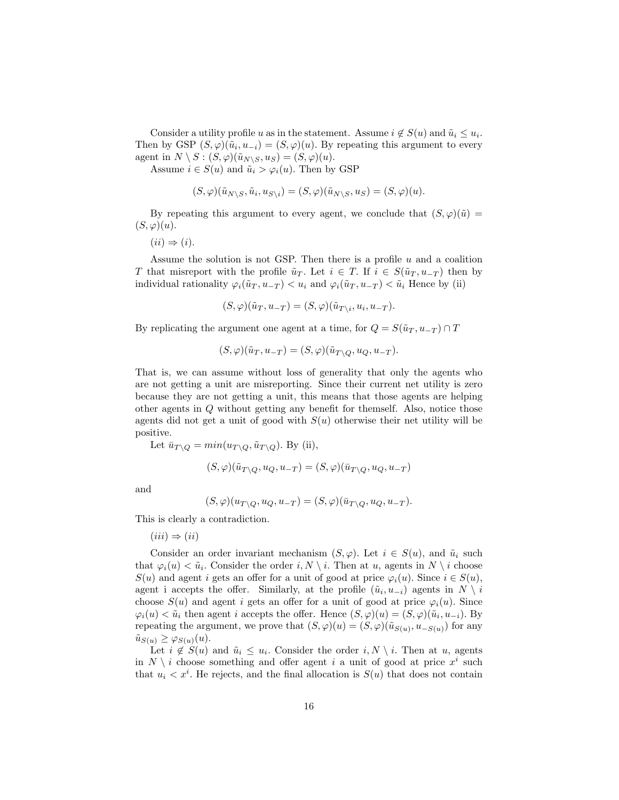Consider a utility profile u as in the statement. Assume  $i \notin S(u)$  and  $\tilde{u}_i \leq u_i$ . Then by GSP  $(S, \varphi)(\tilde{u}_i, u_{-i}) = (S, \varphi)(u)$ . By repeating this argument to every agent in  $N \setminus S : (S, \varphi)(\tilde{u}_{N \setminus S}, u_S) = (S, \varphi)(u).$ 

Assume  $i \in S(u)$  and  $\tilde{u}_i > \varphi_i(u)$ . Then by GSP

$$
(S,\varphi)(\tilde{u}_{N\setminus S},\tilde{u}_i,u_{S\setminus i})=(S,\varphi)(\tilde{u}_{N\setminus S},u_S)=(S,\varphi)(u).
$$

By repeating this argument to every agent, we conclude that  $(S, \varphi)(\tilde{u}) =$  $(S,\varphi)(u).$ 

 $(ii) \Rightarrow (i).$ 

Assume the solution is not GSP. Then there is a profile  $u$  and a coalition T that misreport with the profile  $\tilde{u}_T$ . Let  $i \in T$ . If  $i \in S(\tilde{u}_T, u_{-T})$  then by individual rationality  $\varphi_i(\tilde{u}_T, u_{-T}) < u_i$  and  $\varphi_i(\tilde{u}_T, u_{-T}) < \tilde{u}_i$  Hence by (ii)

$$
(S,\varphi)(\tilde{u}_T, u_{-T}) = (S,\varphi)(\tilde{u}_{T\setminus i}, u_i, u_{-T}).
$$

By replicating the argument one agent at a time, for  $Q = S(\tilde{u}_T, u_{-T}) \cap T$ 

$$
(S,\varphi)(\tilde{u}_T, u_{-T}) = (S,\varphi)(\tilde{u}_{T\setminus Q}, u_Q, u_{-T}).
$$

That is, we can assume without loss of generality that only the agents who are not getting a unit are misreporting. Since their current net utility is zero because they are not getting a unit, this means that those agents are helping other agents in Q without getting any benefit for themself. Also, notice those agents did not get a unit of good with  $S(u)$  otherwise their net utility will be positive.

Let  $\bar{u}_{T\setminus O} = min(u_{T\setminus O}, \tilde{u}_{T\setminus O})$ . By (ii),

$$
(S,\varphi)(\tilde{u}_{T\setminus Q},u_Q,u_{-T})=(S,\varphi)(\bar{u}_{T\setminus Q},u_Q,u_{-T})
$$

and

$$
(S,\varphi)(u_{T\setminus Q},u_Q,u_{-T})=(S,\varphi)(\bar{u}_{T\setminus Q},u_Q,u_{-T}).
$$

This is clearly a contradiction.

 $(iii) \Rightarrow (ii)$ 

Consider an order invariant mechanism  $(S, \varphi)$ . Let  $i \in S(u)$ , and  $\tilde{u}_i$  such that  $\varphi_i(u) < \tilde{u}_i$ . Consider the order  $i, N \setminus i$ . Then at u, agents in  $N \setminus i$  choose  $S(u)$  and agent i gets an offer for a unit of good at price  $\varphi_i(u)$ . Since  $i \in S(u)$ , agent i accepts the offer. Similarly, at the profile  $(\tilde{u}_i, u_{-i})$  agents in  $N \setminus i$ choose  $S(u)$  and agent i gets an offer for a unit of good at price  $\varphi_i(u)$ . Since  $\varphi_i(u) < \tilde{u}_i$  then agent i accepts the offer. Hence  $(S, \varphi)(u) = (S, \varphi)(\tilde{u}_i, u_{-i})$ . By repeating the argument, we prove that  $(S, \varphi)(u) = (S, \varphi)(\tilde{u}_{S(u)}, u_{-S(u)})$  for any  $\tilde{u}_{S(u)} \geq \varphi_{S(u)}(u).$ 

Let  $i \notin S(u)$  and  $\tilde{u}_i \leq u_i$ . Consider the order  $i, N \setminus i$ . Then at u, agents in  $N \setminus i$  choose something and offer agent i a unit of good at price  $x^i$  such that  $u_i < x^i$ . He rejects, and the final allocation is  $S(u)$  that does not contain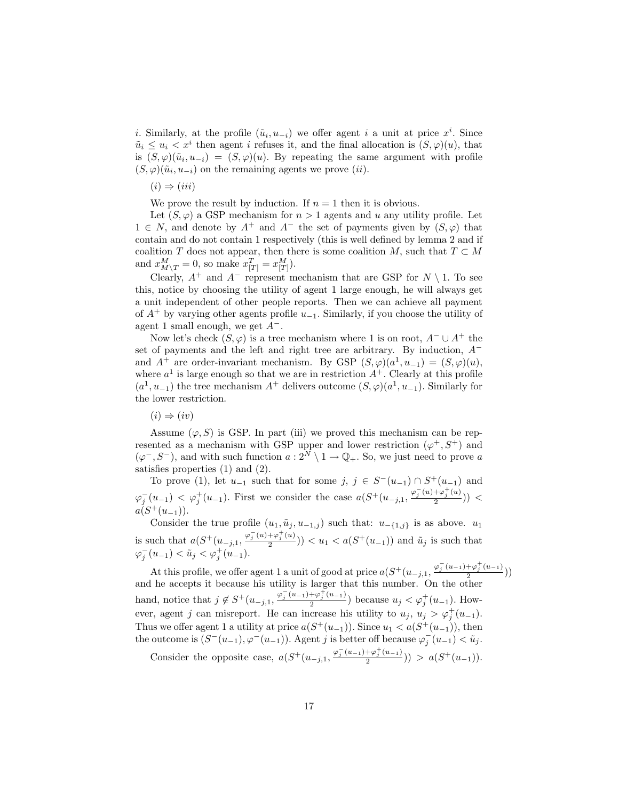*i*. Similarly, at the profile  $(\tilde{u}_i, u_{-i})$  we offer agent *i* a unit at price  $x^i$ . Since  $\tilde{u}_i \leq u_i < x^i$  then agent i refuses it, and the final allocation is  $(S,\varphi)(u)$ , that is  $(S, \varphi)(\tilde{u}_i, u_{-i}) = (S, \varphi)(u)$ . By repeating the same argument with profile  $(S, \varphi)(\tilde{u}_i, u_{-i})$  on the remaining agents we prove  $(ii)$ .

 $(i) \Rightarrow (iii)$ 

We prove the result by induction. If  $n = 1$  then it is obvious.

Let  $(S, \varphi)$  a GSP mechanism for  $n > 1$  agents and u any utility profile. Let  $1 \in N$ , and denote by  $A^+$  and  $A^-$  the set of payments given by  $(S, \varphi)$  that contain and do not contain 1 respectively (this is well defined by lemma 2 and if coalition T does not appear, then there is some coalition M, such that  $T \subset M$ and  $x_{M \setminus T}^{M} = 0$ , so make  $x_{[T]}^{T} = x_{[T]}^{M}$ .

Clearly,  $A^+$  and  $A^-$  represent mechanism that are GSP for  $N \setminus 1$ . To see this, notice by choosing the utility of agent 1 large enough, he will always get a unit independent of other people reports. Then we can achieve all payment of  $A^+$  by varying other agents profile  $u_{-1}$ . Similarly, if you choose the utility of agent 1 small enough, we get  $A^-$ .

Now let's check  $(S, \varphi)$  is a tree mechanism where 1 is on root,  $A^- \cup A^+$  the set of payments and the left and right tree are arbitrary. By induction, A<sup>−</sup> and  $A^+$  are order-invariant mechanism. By GSP  $(S, \varphi)(a^1, u_{-1}) = (S, \varphi)(u)$ , where  $a^1$  is large enough so that we are in restriction  $A^+$ . Clearly at this profile  $(a^1, u_{-1})$  the tree mechanism  $A^+$  delivers outcome  $(S, \varphi)(a^1, u_{-1})$ . Similarly for the lower restriction.

 $(i) \Rightarrow (iv)$ 

Assume  $(\varphi, S)$  is GSP. In part (iii) we proved this mechanism can be represented as a mechanism with GSP upper and lower restriction  $(\varphi^+, S^+)$  and  $(\varphi^-, S^-)$ , and with such function  $a: 2^N \setminus 1 \to \mathbb{Q}_+$ . So, we just need to prove a satisfies properties (1) and (2).

To prove (1), let  $u_{-1}$  such that for some  $j, j \in S^-(u_{-1}) \cap S^+(u_{-1})$  and  $\varphi_j^-(u_{-1}) \leq \varphi_j^+(u_{-1})$ . First we consider the case  $a(S^+(u_{-j,1}, \frac{\varphi_j^-(u)+\varphi_j^+(u)}{2}))$  $\frac{1+\varphi_j(u)}{2})$ ) <  $a(S^+(u_{-1}))$ .

Consider the true profile  $(u_1, \tilde{u}_j, u_{-1,j})$  such that:  $u_{-\{1,j\}}$  is as above.  $u_1$ is such that  $a(S^+(u_{-j,1}, \frac{\varphi_j^-(u)+\varphi_j^+(u)}{2}))$ such that  $a(S^+(u_{-j,1}, \frac{\varphi_j(u)+\varphi_j(u)}{2})) < u_1 < a(S^+(u_{-1}))$  and  $\tilde{u}_j$  is such that  $\varphi_j^-(u_{-1}) < \tilde{u}_j < \varphi_j^+(u_{-1}).$ 

At this profile, we offer agent 1 a unit of good at price  $a(S^+(u_{-j,1}, \frac{\varphi_j^-(u_{-1})+\varphi_j^+(u_{-1})}{2}))$  $\frac{1+\varphi_j(u-1)}{2})$ and he accepts it because his utility is larger that this number. On the other hand, notice that  $j \notin S^+(u_{-j,1}, \frac{\varphi_j^-(u_{-1}) + \varphi_j^+(u_{-1})}{2})$  $\frac{1+\varphi_j(u-1)}{2}$  because  $u_j < \varphi_j^+(u_{-1})$ . However, agent j can misreport. He can increase his utility to  $u_j, u_j > \varphi_j^+(u_{-1})$ . Thus we offer agent 1 a utility at price  $a(S^+(u_{-1}))$ . Since  $u_1 < a(S^+(u_{-1}))$ , then the outcome is  $(S^-(u_{-1}), \varphi^-(u_{-1}))$ . Agent j is better off because  $\varphi_j^-(u_{-1}) < \tilde{u}_j$ .

Consider the opposite case,  $a(S^+(u_{-j,1}, \frac{\varphi_j^-(u_{-1})+\varphi_j^+(u_{-1})}{2}))$  $\frac{+\varphi_j(u-1)}{2})$  >  $a(S^+(u-1))$ .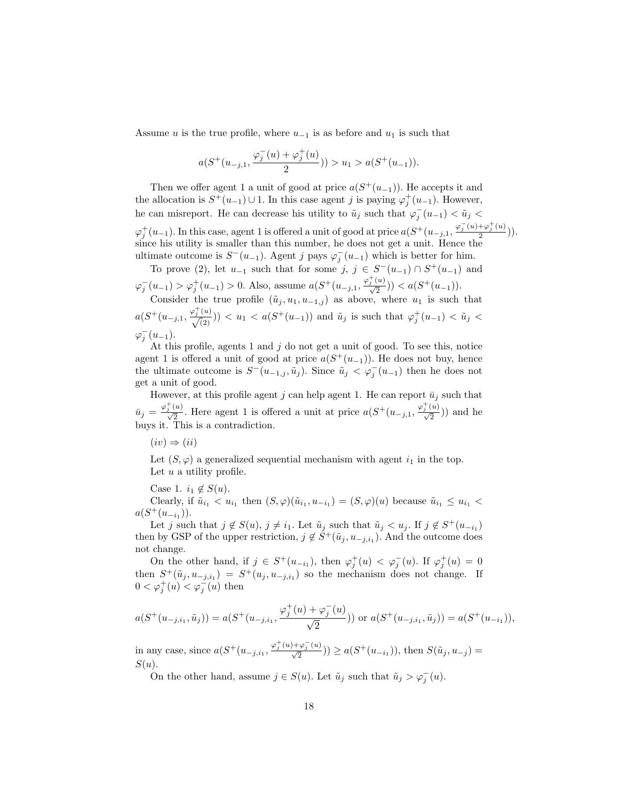Assume u is the true profile, where  $u_{-1}$  is as before and  $u_1$  is such that

$$
a(S^+(u_{-j,1},\frac{\varphi_j^-(u)+\varphi_j^+(u)}{2}))>u_1>a(S^+(u_{-1})).
$$

Then we offer agent 1 a unit of good at price  $a(S^+(u_{-1}))$ . He accepts it and the allocation is  $S^+(u_{-1}) \cup 1$ . In this case agent j is paying  $\varphi_j^+(u_{-1})$ . However, he can misreport. He can decrease his utility to  $\tilde{u}_j$  such that  $\varphi_j^-(u_{-1}) < \tilde{u}_j$  $\varphi_j^+(u_{-1})$ . In this case, agent 1 is offered a unit of good at price  $a(S^+(u_{-j,1}, \frac{\varphi_j^-(u)+\varphi_j^+(u)}{2}))$  $\frac{\tau \varphi_j^-(u)}{2})$ ). since his utility is smaller than this number, he does not get a unit. Hence the ultimate outcome is  $S^-(u_{-1})$ . Agent j pays  $\varphi_j^-(u_{-1})$  which is better for him.

To prove (2), let  $u_{-1}$  such that for some  $j, j \in S^-(u_{-1}) \cap S^+(u_{-1})$  and  $\varphi_j^-(u_{-1}) > \varphi_j^+(u_{-1}) > 0$ . Also, assume  $a(S^+(u_{-j,1}, \frac{\varphi_j^+(u)}{\sqrt{2}})) < a(S^+(u_{-1}))$ .

Consider the true profile  $(\tilde{u}_j, u_1, u_{-1,j})$  as above, where  $u_1$  is such that  $a(S^+(u_{-j,1}, \frac{\varphi_j^+(u)}{\sqrt{2}})) < u_1 < a(S^+(u_{-1}))$  and  $\tilde{u}_j$  is such that  $\varphi_j^+(u_{-1}) < \tilde{u}_j <$  $\varphi_j^{-}(u_{-1}).$ 

At this profile, agents 1 and  $j$  do not get a unit of good. To see this, notice agent 1 is offered a unit of good at price  $a(S^+(u_{-1}))$ . He does not buy, hence the ultimate outcome is  $S^-(u_{-1,j}, \tilde{u}_j)$ . Since  $\tilde{u}_j < \varphi_j^-(u_{-1})$  then he does not get a unit of good.

However, at this profile agent j can help agent 1. He can report  $\bar{u}_j$  such that  $\bar{u}_j = \frac{\varphi_j^+(u)}{\sqrt{2}}$ . Here agent 1 is offered a unit at price  $a(S^+(u_{-j,1}, \frac{\varphi_j^+(u)}{\sqrt{2}}))$  and he buys it. This is a contradiction.

 $(iv) \Rightarrow (ii)$ 

Let  $(S, \varphi)$  a generalized sequential mechanism with agent  $i_1$  in the top. Let  $u$  a utility profile.

Case 1.  $i_1 \notin S(u)$ .

Clearly, if  $\tilde{u}_{i_1} < u_{i_1}$  then  $(S, \varphi)(\tilde{u}_{i_1}, u_{-i_1}) = (S, \varphi)(u)$  because  $\tilde{u}_{i_1} \le u_{i_1}$  $a(S^+(u_{-i_1}))$ .

Let j such that  $j \notin S(u)$ ,  $j \neq i_1$ . Let  $\tilde{u}_j$  such that  $\tilde{u}_j < u_j$ . If  $j \notin S^+(u_{-i_1})$ then by GSP of the upper restriction,  $j \notin S^+(\tilde{u}_j, u_{-j,i_1})$ . And the outcome does not change.

On the other hand, if  $j \in S^+(u_{-i_1})$ , then  $\varphi_j^+(u) < \varphi_j^-(u)$ . If  $\varphi_j^+(u) = 0$ then  $S^+(\tilde{u}_j, u_{-j,i_1}) = S^+(u_j, u_{-j,i_1})$  so the mechanism does not change. If  $0 < \varphi_j^+(u) < \varphi_j^-(u)$  then

$$
a(S^+(u_{-j,i_1}, \tilde{u}_j)) = a(S^+(u_{-j,i_1}, \frac{\varphi_j^+(u) + \varphi_j^-(u)}{\sqrt{2}})) \text{ or } a(S^+(u_{-j,i_1}, \tilde{u}_j)) = a(S^+(u_{-i_1})),
$$

in any case, since  $a(S^+(u_{-j,i_1}, \frac{\varphi_j^+(u)+\varphi_j^-(u)}{\sqrt{2}})) \ge a(S^+(u_{-i_1}))$ , then  $S(\tilde{u}_j, u_{-j}) =$  $S(u)$ .

On the other hand, assume  $j \in S(u)$ . Let  $\tilde{u}_j$  such that  $\tilde{u}_j > \varphi_j^-(u)$ .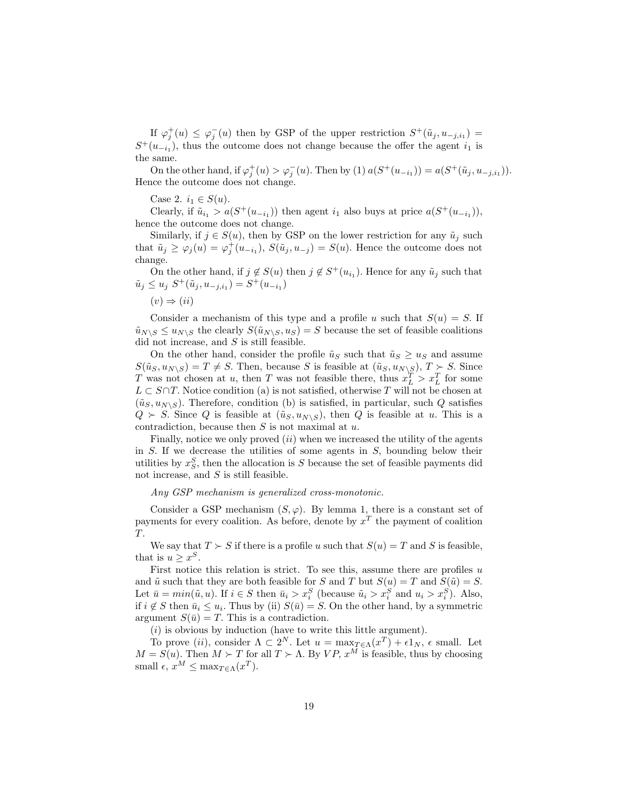If  $\varphi_j^+(u) \leq \varphi_j^-(u)$  then by GSP of the upper restriction  $S^+(\tilde u_j, u_{-j,i_1}) =$  $S^+(u_{-i_1})$ , thus the outcome does not change because the offer the agent  $i_1$  is the same.

On the other hand, if  $\varphi_j^+(u) > \varphi_j^-(u)$ . Then by (1)  $a(S^+(u_{-i_1})) = a(S^+(\tilde{u}_j, u_{-j,i_1})).$ Hence the outcome does not change.

Case 2.  $i_1 \in S(u)$ .

Clearly, if  $\tilde{u}_{i_1} > a(S^+(u_{-i_1}))$  then agent  $i_1$  also buys at price  $a(S^+(u_{-i_1}))$ , hence the outcome does not change.

Similarly, if  $j \in S(u)$ , then by GSP on the lower restriction for any  $\tilde{u}_j$  such that  $\tilde{u}_j \ge \varphi_j(u) = \varphi_j^+(u_{-i_1}), S(\tilde{u}_j, u_{-j}) = S(u)$ . Hence the outcome does not change.

On the other hand, if  $j \notin S(u)$  then  $j \notin S^+(u_{i_1})$ . Hence for any  $\tilde{u}_j$  such that  $\tilde{u}_j \le u_j \; S^+(\tilde{u}_j, u_{-j,i_1}) = S^+(u_{-i_1})$ 

 $(v) \Rightarrow (ii)$ 

Consider a mechanism of this type and a profile u such that  $S(u) = S$ . If  $\tilde{u}_{N\setminus S} \leq u_{N\setminus S}$  the clearly  $S(\tilde{u}_{N\setminus S}, u_S) = S$  because the set of feasible coalitions did not increase, and  $S$  is still feasible.

On the other hand, consider the profile  $\tilde{u}_S$  such that  $\tilde{u}_S \ge u_S$  and assume  $S(\tilde{u}_S, u_{N\setminus S}) = T \neq S$ . Then, because S is feasible at  $(\tilde{u}_S, u_{N\setminus S}), T \succ S$ . Since T was not chosen at u, then T was not feasible there, thus  $x_L^T > x_L^T$  for some  $L \subset S \cap T$ . Notice condition (a) is not satisfied, otherwise T will not be chosen at  $(\tilde{u}_S, u_{N\setminus S})$ . Therefore, condition (b) is satisfied, in particular, such Q satisfies  $Q \succ S$ . Since Q is feasible at  $(\tilde{u}_S, u_{N\setminus S})$ , then Q is feasible at u. This is a contradiction, because then  $S$  is not maximal at  $u$ .

Finally, notice we only proved  $(ii)$  when we increased the utility of the agents in  $S$ . If we decrease the utilities of some agents in  $S$ , bounding below their utilities by  $x_S^S$ , then the allocation is S because the set of feasible payments did not increase, and  $S$  is still feasible.

Any GSP mechanism is generalized cross-monotonic.

Consider a GSP mechanism  $(S, \varphi)$ . By lemma 1, there is a constant set of payments for every coalition. As before, denote by  $x^T$  the payment of coalition T.

We say that  $T \succ S$  if there is a profile u such that  $S(u) = T$  and S is feasible, that is  $u \geq x^S$ .

First notice this relation is strict. To see this, assume there are profiles  $u$ and  $\tilde{u}$  such that they are both feasible for S and T but  $S(u) = T$  and  $S(\tilde{u}) = S$ . Let  $\bar{u} = min(\tilde{u}, u)$ . If  $i \in S$  then  $\bar{u}_i > x_i^S$  (because  $\tilde{u}_i > x_i^S$  and  $u_i > x_i^S$ ). Also, if  $i \notin S$  then  $\bar{u}_i \leq u_i$ . Thus by (ii)  $S(\bar{u}) = S$ . On the other hand, by a symmetric argument  $S(\bar{u}) = T$ . This is a contradiction.

 $(i)$  is obvious by induction (have to write this little argument).

To prove (*ii*), consider  $\Lambda \subset 2^N$ . Let  $u = \max_{T \in \Lambda} (x^T) + \epsilon 1_N$ ,  $\epsilon$  small. Let  $M = S(u)$ . Then  $M \succ T$  for all  $T \succ \Lambda$ . By  $VP, x^M$  is feasible, thus by choosing small  $\epsilon$ ,  $x^M \leq \max_{T \in \Lambda} (x^T)$ .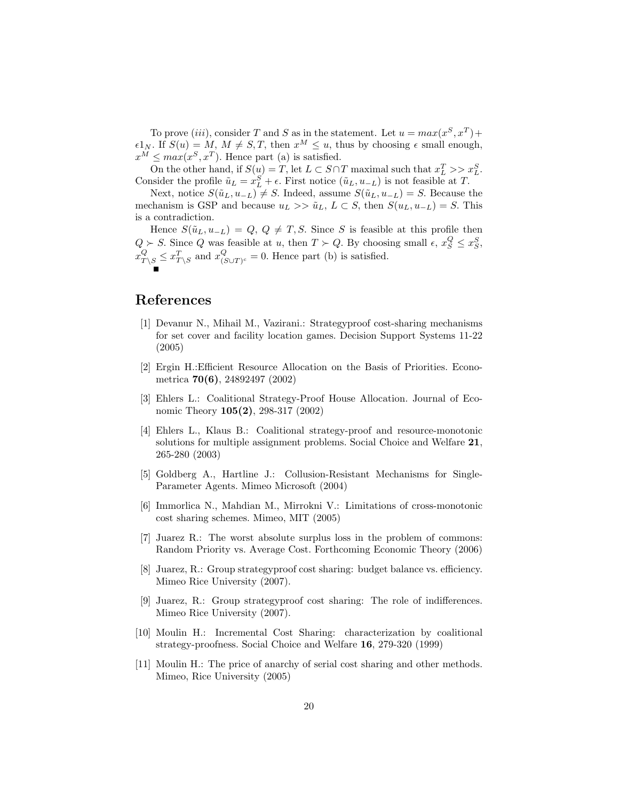To prove (iii), consider T and S as in the statement. Let  $u = max(x^S, x^T) +$  $\epsilon 1_N$ . If  $S(u) = M, M \neq S, T$ , then  $x^M \leq u$ , thus by choosing  $\epsilon$  small enough,  $x^M \leq max(x^S, x^T)$ . Hence part (a) is satisfied.

On the other hand, if  $S(u) = T$ , let  $L \subset S \cap T$  maximal such that  $x_L^T >> x_L^S$ . Consider the profile  $\tilde{u}_L = x_L^S + \epsilon$ . First notice  $(\tilde{u}_L, u_{-L})$  is not feasible at T.

Next, notice  $S(\tilde{u}_L, u_{-L}) \neq S$ . Indeed, assume  $S(\tilde{u}_L, u_{-L}) = S$ . Because the mechanism is GSP and because  $u_L >> \tilde{u}_L$ ,  $L \subset S$ , then  $S(u_L, u_{-L}) = S$ . This is a contradiction.

Hence  $S(\tilde{u}_L, u_{-L}) = Q, Q \neq T, S$ . Since S is feasible at this profile then  $Q > S$ . Since Q was feasible at u, then  $T > Q$ . By choosing small  $\epsilon, x_S^Q \le x_S^S$ ,  $x_{T\setminus S}^{Q} \leq x_{T\setminus S}^{T}$  and  $x_{(S)}^{Q}$  $\mathcal{L}_{(S\cup T)^c} = 0.$  Hence part (b) is satisfied.

# References

- [1] Devanur N., Mihail M., Vazirani.: Strategyproof cost-sharing mechanisms for set cover and facility location games. Decision Support Systems 11-22 (2005)
- [2] Ergin H.:Efficient Resource Allocation on the Basis of Priorities. Econometrica 70(6), 24892497 (2002)
- [3] Ehlers L.: Coalitional Strategy-Proof House Allocation. Journal of Economic Theory 105(2), 298-317 (2002)
- [4] Ehlers L., Klaus B.: Coalitional strategy-proof and resource-monotonic solutions for multiple assignment problems. Social Choice and Welfare 21, 265-280 (2003)
- [5] Goldberg A., Hartline J.: Collusion-Resistant Mechanisms for Single-Parameter Agents. Mimeo Microsoft (2004)
- [6] Immorlica N., Mahdian M., Mirrokni V.: Limitations of cross-monotonic cost sharing schemes. Mimeo, MIT (2005)
- [7] Juarez R.: The worst absolute surplus loss in the problem of commons: Random Priority vs. Average Cost. Forthcoming Economic Theory (2006)
- [8] Juarez, R.: Group strategyproof cost sharing: budget balance vs. efficiency. Mimeo Rice University (2007).
- [9] Juarez, R.: Group strategyproof cost sharing: The role of indifferences. Mimeo Rice University (2007).
- [10] Moulin H.: Incremental Cost Sharing: characterization by coalitional strategy-proofness. Social Choice and Welfare 16, 279-320 (1999)
- [11] Moulin H.: The price of anarchy of serial cost sharing and other methods. Mimeo, Rice University (2005)